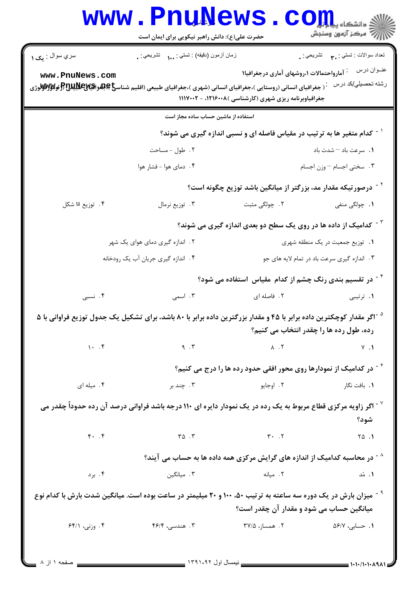|                             | www.PnuNews<br>حضرت علی(ع): دانش راهبر نیکویی برای ایمان است                                                                     | $C \Omega$                                                                                                     | دانشگاه پی <mark>ا ب</mark><br>أأأأ مركز آزمون وسنجش |
|-----------------------------|----------------------------------------------------------------------------------------------------------------------------------|----------------------------------------------------------------------------------------------------------------|------------------------------------------------------|
| سري سوال : <sub>م</sub> ک ۱ | زمان أزمون (دقيقه) : تستي : (     تشريحي : .                                                                                     |                                                                                                                | تعداد سوالات : تستبي : ٩. مسمد التشريحي : .          |
| www.PnuNews.com             | ` ( جغرافیای انسانی (روستایی )،جغرافیای انسانی (شهری )،جغرافیای طبیعی (اقلیم شناس <b>یخ بالغو اقیالاعلالاتا (#ولالاوالار</b> وژی | <sup>:</sup> آمارواحتمالات ۱،روشهای آماری درجغرافیا۱<br>جغرافیاوبرنامه ریزی شهری (کارشناسی ) ۱۲۱۶۰۰۸ - ۱۱۱۷۰۰۲ | عنــوان درس<br>رشته تحصبلي/كد درس                    |
|                             | استفاده از ماشین حساب ساده مجاز است                                                                                              |                                                                                                                |                                                      |
|                             |                                                                                                                                  | <sup>' -</sup> کدام متغیر ها به ترتیب در مقیاس فاصله ای و نسبی اندازه گیری می شوند؟                            |                                                      |
|                             | ۰۲ طول - مساحت                                                                                                                   |                                                                                                                | 1. سرعت باد - شدت باد                                |
|                             | ۰۴ دمای هوا - فشار هوا                                                                                                           |                                                                                                                | ٠٣. سختي اجسام - وزن اجسام                           |
|                             |                                                                                                                                  | <sup>۲</sup> <sup>-</sup> درصورتیکه مقدار مد، بزرگتر از میانگین باشد توزیع چگونه است؟                          |                                                      |
| ۰۴ توزیع u شکل              | ۰۳ توزیع نرمال                                                                                                                   | ۲. چولگی مثبت                                                                                                  | ۰۱ چولگی منفی                                        |
|                             |                                                                                                                                  | <sup>۳ -</sup> کدامیک از داده ها در روی یک سطح دو بعدی اندازه گیری می شوند؟                                    |                                                      |
|                             | ۲. اندازه گیری دمای هوای یک شهر                                                                                                  |                                                                                                                | ۰۱ توزیع جمعیت در یک منطقه شهری                      |
|                             | ۰۴ اندازه گیری جریان آب یک رودخانه                                                                                               |                                                                                                                | ۰۳ اندازه گیری سرعت باد در تمام لایه های جو          |
|                             |                                                                                                                                  | <sup>۶ -</sup> در تقسیم بندی رنگ چشم از کدام مقیاس  استفاده می شود؟                                            |                                                      |
| ۴. نسبی                     | ۰۳ اسمی                                                                                                                          | ۰۲ فاصله ای                                                                                                    | ۰۱ ترتیبی                                            |
|                             | <sup>۵ -</sup> اگر مقدار کوچکترین داده برابر با ۴۵ و مقدار بزرگترین داده برابر با ۸۰ باشد، برای تشکیل یک جدول توزیع فراوانی با ۵ |                                                                                                                | رده، طول رده ها را چقدر انتخاب می کنیم؟              |
| 1.7                         | 9.7                                                                                                                              | $\lambda$ . ٢                                                                                                  | $Y \cdot Y$                                          |
|                             |                                                                                                                                  | ٔ <sup>۶</sup> در کدامیک از نمودارها روی محور افقی حدود رده ها را درج می کنیم؟                                 |                                                      |
| ۰۴ میله ای                  | ۰۳ چند بر                                                                                                                        | ۰۲ اوجايو                                                                                                      | ٠١. بافت نگار                                        |
|                             | اگر زاویه مرکزی قطاع مربوط به یک رده در یک نمودار دایره ای ۱۱۰ درجه باشد فراوانی درصد آن رده حدوداً چقدر می "                    |                                                                                                                | شود؟                                                 |
| $f.$ $f$                    | $\mathsf{r}\circ\mathsf{r}$                                                                                                      | $T - T$                                                                                                        | $\begin{bmatrix} 0 & 1 \\ 0 & 1 \end{bmatrix}$       |
|                             |                                                                                                                                  | <sup>^ -</sup> در محاسبه کدامیک از اندازه های گرایش مرکزی همه داده ها به حساب می آیند؟                         |                                                      |
| ۰۴ برد                      | ۰۳ میانگین                                                                                                                       | ٢. ميانه                                                                                                       | ۰۱ مُد                                               |
|                             | <sup>۹ -</sup> میزان بارش در یک دوره سه ساعته به ترتیب ۵۰، ۱۰۰ و ۲۰ میلیمتر در ساعت بوده است. میانگین شدت بارش با کدام نوع       | میانگین حساب می شود و مقدار آن چقدر است؟                                                                       |                                                      |
| ۰۴ وزنی، ۶۴/۱               | ۴. هندسی، ۴۶/۴                                                                                                                   | ۲ . همساز، ۳۷/۵                                                                                                | ۰۱ حسابی، ۵۶/۷                                       |

 $\overline{a}$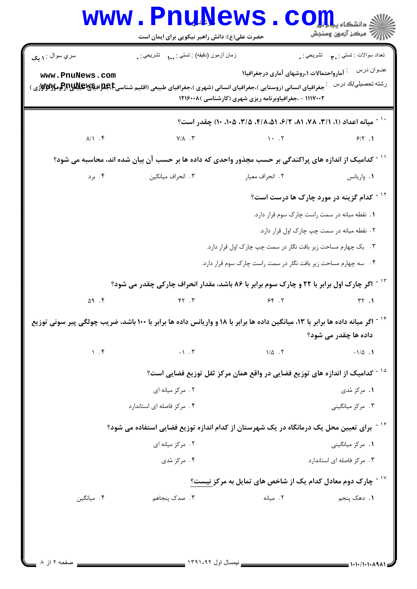| سري سوال : ۱ يک<br>www.PnuNews.com<br>جغرافیای انسانی (روستایی )،جغرافیای انسانی (شهری )،جغرافیای طبیعی (اقلیم شناسیCبهایلایاتیاتیاتیاتیاتیاتیاتی)<br>.<br>$\lambda/\lambda$ . ۴<br><sup>۱۱ -</sup> کدامیک از اندازه های پراکندگی بر حسب مجذور واحدی که داده ها بر حسب آن بیان شده اند، محاسبه می شود؟<br>۰۳ انحراف میانگین میست و با در انحراف میانگین<br>$\Delta$ 9.5 | زمان أزمون (دقيقه) : تستي : ١٠٠ نشريحي : .<br>$Y/\lambda$ . $Y$ | <sup>:</sup> آمارواحتمالات ۱،روشهای آماری درجغرافیا۱<br>۱۱۱۷۰۰۲ - ،جغرافیاوبرنامه ریزی شهری (کارشناسی )۱۲۱۶۰۰۸<br>`` - ميانه اعداد (١، ٢/١، ٧٨، ٨١، ٦/٢، ٤/١، ٣/٥، ٢/٥، ٢٠٥، ١٠) چقدر است؟<br>$\mathcal{N}$ . T<br>٢. انحراف معيار<br>1. نقطه میانه در سمت راست چارک سوم قرار دارد.<br>۲ . نقطه میانه در سمت چپ چارک اول قرار دارد.<br>۰۳ یک چهارم مساحت زیر بافت نگار در سمت چپ چارک اول قرار دارد.<br>۰۴ سه چهارم مساحت زیر بافت نگار در سمت راست چارک سوم قرار دارد.<br>۱۳ - اگر چارک اول برابر با ۲۲ و چارک سوم برابر با ۸۶ باشد، مقدار انحراف چارکی چقدر می شود؟ | نعداد سوالات : تستي : پم       تشريحي : .<br>عنــوان درس<br>رشته تحصيلي/كد درس<br>9/5.1<br>٠١. واريانس<br><sup>۱۲ -</sup> کدام گزینه در مورد چارک ها درست است؟ |
|-------------------------------------------------------------------------------------------------------------------------------------------------------------------------------------------------------------------------------------------------------------------------------------------------------------------------------------------------------------------------|-----------------------------------------------------------------|-----------------------------------------------------------------------------------------------------------------------------------------------------------------------------------------------------------------------------------------------------------------------------------------------------------------------------------------------------------------------------------------------------------------------------------------------------------------------------------------------------------------------------------------------------------------------|----------------------------------------------------------------------------------------------------------------------------------------------------------------|
|                                                                                                                                                                                                                                                                                                                                                                         |                                                                 |                                                                                                                                                                                                                                                                                                                                                                                                                                                                                                                                                                       |                                                                                                                                                                |
|                                                                                                                                                                                                                                                                                                                                                                         |                                                                 |                                                                                                                                                                                                                                                                                                                                                                                                                                                                                                                                                                       |                                                                                                                                                                |
|                                                                                                                                                                                                                                                                                                                                                                         |                                                                 |                                                                                                                                                                                                                                                                                                                                                                                                                                                                                                                                                                       |                                                                                                                                                                |
|                                                                                                                                                                                                                                                                                                                                                                         |                                                                 |                                                                                                                                                                                                                                                                                                                                                                                                                                                                                                                                                                       |                                                                                                                                                                |
|                                                                                                                                                                                                                                                                                                                                                                         |                                                                 |                                                                                                                                                                                                                                                                                                                                                                                                                                                                                                                                                                       |                                                                                                                                                                |
|                                                                                                                                                                                                                                                                                                                                                                         |                                                                 |                                                                                                                                                                                                                                                                                                                                                                                                                                                                                                                                                                       |                                                                                                                                                                |
|                                                                                                                                                                                                                                                                                                                                                                         |                                                                 |                                                                                                                                                                                                                                                                                                                                                                                                                                                                                                                                                                       |                                                                                                                                                                |
|                                                                                                                                                                                                                                                                                                                                                                         |                                                                 |                                                                                                                                                                                                                                                                                                                                                                                                                                                                                                                                                                       |                                                                                                                                                                |
|                                                                                                                                                                                                                                                                                                                                                                         |                                                                 |                                                                                                                                                                                                                                                                                                                                                                                                                                                                                                                                                                       |                                                                                                                                                                |
|                                                                                                                                                                                                                                                                                                                                                                         |                                                                 |                                                                                                                                                                                                                                                                                                                                                                                                                                                                                                                                                                       |                                                                                                                                                                |
|                                                                                                                                                                                                                                                                                                                                                                         |                                                                 |                                                                                                                                                                                                                                                                                                                                                                                                                                                                                                                                                                       |                                                                                                                                                                |
|                                                                                                                                                                                                                                                                                                                                                                         |                                                                 |                                                                                                                                                                                                                                                                                                                                                                                                                                                                                                                                                                       |                                                                                                                                                                |
|                                                                                                                                                                                                                                                                                                                                                                         | Y. 77                                                           | 56.7                                                                                                                                                                                                                                                                                                                                                                                                                                                                                                                                                                  | $\mathsf{r}\mathsf{r}$ .                                                                                                                                       |
| ۱۴ <sup>- ۱۴</sup> اگر میانه داده ها برابر با ۱۳، میانگین داده ها برابر با ۱۸ و واریانس داده ها برابر با ۱۰۰ باشد، ضریب چولگی پیر سونی توزیع                                                                                                                                                                                                                            |                                                                 |                                                                                                                                                                                                                                                                                                                                                                                                                                                                                                                                                                       | داده ها چقدر می شود؟                                                                                                                                           |
| 1.5                                                                                                                                                                                                                                                                                                                                                                     | $-1$ . $\mathbf{r}$                                             | $1/\Delta$ .                                                                                                                                                                                                                                                                                                                                                                                                                                                                                                                                                          | $-1/\Delta$ .                                                                                                                                                  |
|                                                                                                                                                                                                                                                                                                                                                                         |                                                                 | <sup>۱۵ -</sup> کدامیک از اندازه های توزیع فضایی در واقع همان مرکز ثقل توزیع فضایی است؟                                                                                                                                                                                                                                                                                                                                                                                                                                                                               |                                                                                                                                                                |
|                                                                                                                                                                                                                                                                                                                                                                         | ۰۲ مرکز میانه ای                                                |                                                                                                                                                                                                                                                                                                                                                                                                                                                                                                                                                                       | ۱. مرکز مُدی                                                                                                                                                   |
|                                                                                                                                                                                                                                                                                                                                                                         | ۰۴ مرکز فاصله ای استاندارد                                      |                                                                                                                                                                                                                                                                                                                                                                                                                                                                                                                                                                       | ۰۳ مرکز میانگینی                                                                                                                                               |
|                                                                                                                                                                                                                                                                                                                                                                         |                                                                 | ٔ آبرای تعیین محل یک درمانگاه در یک شهرستان از کدام اندازه توزیع فضایی استفاده می شود؟                                                                                                                                                                                                                                                                                                                                                                                                                                                                                |                                                                                                                                                                |
|                                                                                                                                                                                                                                                                                                                                                                         | ۰۲ مرکز میانه ای                                                |                                                                                                                                                                                                                                                                                                                                                                                                                                                                                                                                                                       | ۰۱ مرکز میانگینی                                                                                                                                               |
|                                                                                                                                                                                                                                                                                                                                                                         | ۰۴ مرکز مُدی                                                    |                                                                                                                                                                                                                                                                                                                                                                                                                                                                                                                                                                       | ۰۳ مرکز فاصله ای استاندارد                                                                                                                                     |
|                                                                                                                                                                                                                                                                                                                                                                         |                                                                 | یارک دوم معادل کدام یک از شاخص های تمایل به مرکز نیست؟ $\cdot$                                                                                                                                                                                                                                                                                                                                                                                                                                                                                                        |                                                                                                                                                                |
| ۰۴ میانگین                                                                                                                                                                                                                                                                                                                                                              | ۰۳ صدک پنجاهم                                                   | ٢. ميانه                                                                                                                                                                                                                                                                                                                                                                                                                                                                                                                                                              | ١. دهک پنجم                                                                                                                                                    |

 $\overline{a}$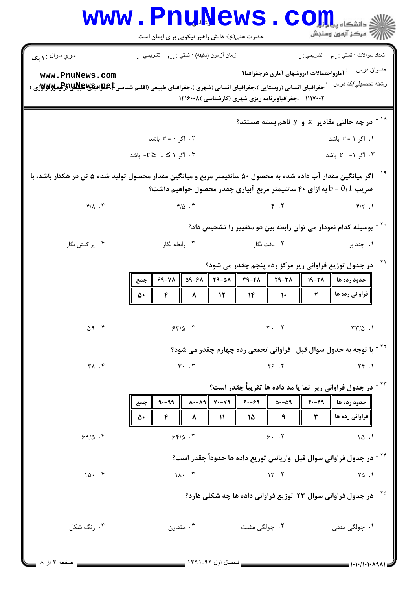|                                | <b>www.PnuNews</b><br>حضرت علی(ع): دانش راهبر نیکویی برای ایمان است                                                                                         |                                                                                                                   | 7' مرڪز آزمون وسنڊش                                            |
|--------------------------------|-------------------------------------------------------------------------------------------------------------------------------------------------------------|-------------------------------------------------------------------------------------------------------------------|----------------------------------------------------------------|
| سري سوال : ۱ يک                | زمان أزمون (دفيقه) : تستى : (     تشريحي : .                                                                                                                | <sup>:</sup> آمارواحتمالات ۱،روشهای آماری درجغرافیا۱                                                              | تعداد سوالات : تستي : <sub>. ٣</sub> تشريحي : .<br>عنــوان درس |
| www.PnuNews.com                | رشته تحصیلی/کد درس میخورافیای انسانی (روستایی )،جغرافیای انسانی (شهری )،جغرافیای طبیعی (اقلیم شناسی <b>E)بهای بان پرانو به این به این به این به این</b> درس | ۱۱۱۷۰۰۲ - ،جغرافیاوبرنامه ریزی شهری (کارشناسی )۱۲۱۶۰۰۸                                                            |                                                                |
|                                |                                                                                                                                                             | $^{\circ}$ در چه حالتی مقادیر $\,$ و $\,$ ناهم بسته هستند $^{\circ}$                                              |                                                                |
|                                | ۰۲ اگر $r = r + 1$ باشد $\tau$                                                                                                                              |                                                                                                                   | ۰۱ اگر ۱ = r باشد                                              |
|                                | ۴. اگر ۱ ≥ 1 ≤r۔ باشد                                                                                                                                       |                                                                                                                   | ۰۳ . اگر ۱- = r باشد                                           |
|                                | <sup>۱۹ -</sup> اگر میانگین مقدار آب داده شده به محصول ۵۰ سانتیمتر مربع و میانگین مقدار محصول تولید شده ۵ تن در هکتار باشد، با                              | ضریب 0/1 = b به ازای ۴۰ سانتیمتر مربع آبیاری چقدر محصول خواهیم داشت؟                                              |                                                                |
| $f/\lambda$ . $f$              | $F/\Delta$ . ٣                                                                                                                                              | $F \cdot T$                                                                                                       | $f/\Upsilon$ .                                                 |
|                                |                                                                                                                                                             | <sup>۲۰ -</sup> بوسیله کدام نمودار می توان رابطه بین دو متغییر را تشخیص داد؟                                      |                                                                |
| ۰۴ پراکنش نگار                 | ۰۳ رابطه نگار                                                                                                                                               | ۰۲ بافت نگار                                                                                                      | ۰۱ چند بر                                                      |
|                                |                                                                                                                                                             | در جدول توزیع فراوانی زیر مرکز رده پنجم چقدر می شود؟                                                              |                                                                |
|                                | ۶۹-۷۸  <br>جمع<br>$\mathbf{r}$<br>$\lambda$<br>۵۰                                                                                                           | ۵۹-۶۸    ۴۹-۵۸    ۳۹-۴۸    ۲۹-۳۸<br>$\parallel$ $\mathcal{N}$ $\parallel$ $\mathcal{N}$ $\parallel$ $\mathcal{N}$ | $19 - 71$<br>حدود رده ها<br>فراوانی رده ها    ۔ ۲              |
|                                |                                                                                                                                                             |                                                                                                                   |                                                                |
| $\Delta$ 9.5                   | $54\%$ .                                                                                                                                                    | $\mathbf{r}$ . $\mathbf{r}$                                                                                       | $\Upsilon \Upsilon / \Delta$ .                                 |
|                                |                                                                                                                                                             | <sup>۲۲ -</sup> با توجه به جدول سوال قبل۔ فراوانی تجمعی رده چهارم چقدر می شود؟                                    |                                                                |
| $\uparrow \wedge$ . $\uparrow$ | $\mathbf{r}$ . $\mathbf{r}$                                                                                                                                 | Y5.7                                                                                                              | Yf.1                                                           |
|                                |                                                                                                                                                             | <sup>۲۳ -</sup> در جدول فراوانی زیر ًنما یا مد داده ها تقریباً چقدر است؟                                          |                                                                |
|                                | $\lambda$ + - $\lambda$ 9 $\ $ y + - $\lambda$ 9 $\ $ y + - $\lambda$ 9 $\ $<br>$9 - 99$<br>جمع<br>۴<br>$\mathcal{V}$<br>۵۰<br>۸                            | $\Delta - \Delta$ ٩<br>٩<br>۱۵                                                                                    | حدود رده ها    ۴۰-۴۹   <br>فراوانی رده ها   <br>$\mathbf{r}$   |
| 99/0.9                         | 54/0.7                                                                                                                                                      | 9.7                                                                                                               | 10.1                                                           |
|                                |                                                                                                                                                             |                                                                                                                   |                                                                |
| 10.7                           | $1\lambda \cdot \cdot \cdot$ $\mathcal{F}$                                                                                                                  | <sup>۲۴ -</sup> در جدول فراوانی سوال قبل  واریانس توزیع داده ها حدوداً چقدر است؟<br>15.7                          | $\begin{bmatrix} 0 & 1 \\ 0 & 1 \end{bmatrix}$                 |
|                                |                                                                                                                                                             |                                                                                                                   |                                                                |
|                                |                                                                                                                                                             | <sup>۲۵ -</sup> در جدول فراوانی سوال ۲۳ توزیع فراوانی داده ها چه شکلی دارد؟                                       |                                                                |
| ۰۴ ; نگ شکل                    | ۰۳ متقارن                                                                                                                                                   | ۰۲ چولگ <sub>ی</sub> مثبت                                                                                         | ۰۱ چولگی منفی                                                  |
| صفحه ۳ از ۸                    |                                                                                                                                                             |                                                                                                                   | = 1・1・/1・1・ハ٩ハ1 =                                              |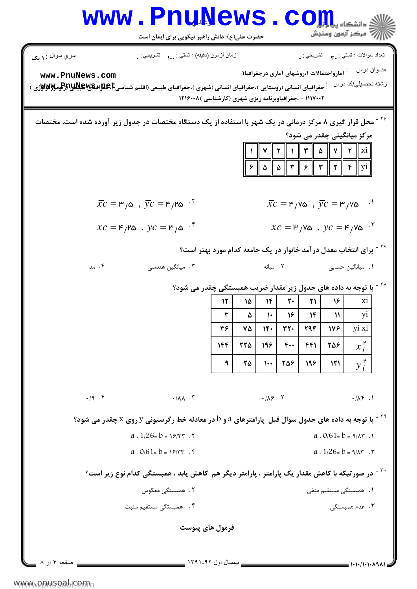|                                                                                                                                           | حضرت علی(ع): دانش راهبر نیکویی برای ایمان است                                                                |                              |                             |                                       |                  |                             |                                                      | د دانشگاه ب <b>د</b><br>رآ - مرڪز آزمون وسنڊش                                                                                                                                                                                         |  |
|-------------------------------------------------------------------------------------------------------------------------------------------|--------------------------------------------------------------------------------------------------------------|------------------------------|-----------------------------|---------------------------------------|------------------|-----------------------------|------------------------------------------------------|---------------------------------------------------------------------------------------------------------------------------------------------------------------------------------------------------------------------------------------|--|
| سري سوال : ۱ يک                                                                                                                           | زمان أزمون (دقيقه) : تستي :  تشريحي : .                                                                      |                              |                             |                                       |                  |                             |                                                      | تعداد سوالات : تستي : پم       تشريحي : .                                                                                                                                                                                             |  |
| www.PnuNews.com<br><b>ٔ جغرافیای انسانی (روستایی )،جغرافیای انسانی (شهری )،جغرافیای طبیعی (اقلیم شناسیCبهپوتولافیکهپوتولوگوتولاوتوی )</b> | ۱۱۱۷۰۰۲ - ،جغرافیاوبرنامه ریزی شهری (کارشناسی ) ۱۲۱۶۰۰۸                                                      |                              |                             |                                       |                  |                             | <sup>:</sup> آمارواحتمالات ۱،روشهای آماری درجغرافیا۱ | عنــوان درس<br>رشته تحصيلي/كد درس                                                                                                                                                                                                     |  |
| محل قرار گیری ۸ مرکز درمانی در یک شهر با استفاده از یک دستگاه مختصات در جدول زیر آورده شده است. مختصات                                    |                                                                                                              |                              | ۶                           |                                       |                  |                             |                                                      | مرکز میانگینی چقدر می شود؟<br>  v    ۲    ۱    ۳    ۵    V    ۲    xi <br>$\Delta \parallel \Delta \parallel \Upsilon \parallel \varepsilon \parallel \Upsilon \parallel \Upsilon \parallel \Upsilon \parallel \varepsilon \parallel$ |  |
|                                                                                                                                           | $\bar{xc} = \mu_{\alpha}$ , $\bar{yc} = \kappa_{\beta}$ . $\kappa$                                           |                              |                             |                                       |                  |                             |                                                      | $\bar{xc} = \mathsf{F}/\mathsf{V}\mathsf{\Delta}$ , $\bar{y}c = \mathsf{F}/\mathsf{V}\mathsf{\Delta}$<br>$\cdot$                                                                                                                      |  |
|                                                                                                                                           | $\bar{xc} = F_{\mu} \cdot \vec{yc} = F_{\mu} \cdot \vec{r}$                                                  |                              |                             |                                       |                  |                             |                                                      | $\bar{xc} = \mu / v \omega$ , $\bar{yc} = \mu / v \omega$ .                                                                                                                                                                           |  |
|                                                                                                                                           |                                                                                                              |                              |                             |                                       |                  |                             |                                                      | <sup>۲۷ -</sup> برای انتخاب معدل در آمد خانوار در یک جامعه کدام مورد بهتر است؟                                                                                                                                                        |  |
| ۰۴ مد                                                                                                                                     | ۰۳ میانگین هندسی                                                                                             |                              |                             | ٢. ميانه                              |                  |                             |                                                      | <b>۱.</b> میانگین حسابی                                                                                                                                                                                                               |  |
|                                                                                                                                           | <sup>۲۸ -</sup> با توجه به داده های جدول زیر مقدار ضریب همبستگی چقدر می شود؟                                 |                              |                             |                                       |                  |                             |                                                      |                                                                                                                                                                                                                                       |  |
|                                                                                                                                           |                                                                                                              | 12                           | ۱۵                          | $ \mathbf{r} $                        | $\mathsf{r}$ .   | 21                          | 16                                                   | xi                                                                                                                                                                                                                                    |  |
|                                                                                                                                           |                                                                                                              | ٣<br>$\mathbf{r}$ $\epsilon$ | ۵<br>$\mathsf{v}\mathsf{a}$ | $\mathcal{N}$<br>$ \mathbf{v} \cdot $ | 9 <br>$rr$ .     | $\mathcal{W}$<br><b>٢٩۴</b> | $\mathcal{W}$<br> Vf                                 | yi<br>yi xi                                                                                                                                                                                                                           |  |
|                                                                                                                                           |                                                                                                              | 144                          | 775                         | 196                                   | $f_{\cdot\cdot}$ | 441                         | 258                                                  | $x_i^{\mathsf{P}}$                                                                                                                                                                                                                    |  |
|                                                                                                                                           |                                                                                                              | ٩                            | ۲۵                          | $\mathcal{L}$                         | 258              | 198                         | 121                                                  | $y_i^{\mathsf{P}}$                                                                                                                                                                                                                    |  |
| .19.5                                                                                                                                     | $\cdot$ / $\Lambda\Lambda$ $\cdot$ $\tilde{r}$                                                               |                              |                             | .119.7                                |                  |                             |                                                      | .74                                                                                                                                                                                                                                   |  |
|                                                                                                                                           | $^8$ - با توجه به داده های جدول سوال قبل پارامترهای $a$ و $b$ در معادله خط رگرسیونی y روی x چقدر می شود $^8$ |                              |                             |                                       |                  |                             |                                                      |                                                                                                                                                                                                                                       |  |
|                                                                                                                                           | $a \cdot 1/26 = b = 19/77$ .                                                                                 |                              |                             |                                       |                  |                             |                                                      | $a \cdot 0/61 = b = 9/\lambda$ .                                                                                                                                                                                                      |  |
|                                                                                                                                           | a. $0/61 = b = 19/77$ . F                                                                                    |                              |                             |                                       |                  |                             |                                                      | a. $1/26 = b = 9/\lambda r$ . $\tau$                                                                                                                                                                                                  |  |
|                                                                                                                                           | <sup>۳۰ -</sup> در صورتیکه با کاهش مقدار یک پارامتر ، پارامتر دیگر هم کاهش یابد ، همبستگی کدام نوع زیر است؟  |                              |                             |                                       |                  |                             |                                                      |                                                                                                                                                                                                                                       |  |
|                                                                                                                                           | ٢. همبستگی معکوس                                                                                             |                              |                             |                                       |                  |                             |                                                      | <b>۱.</b> همبستگی مستقیم منفی                                                                                                                                                                                                         |  |
|                                                                                                                                           | ۰۴ همبستگی مستقیم مثبت                                                                                       |                              |                             |                                       |                  |                             |                                                      | ۰۳ عدم همبستگ <i>ی</i>                                                                                                                                                                                                                |  |
|                                                                                                                                           | فرمول های پیوست                                                                                              |                              |                             |                                       |                  |                             |                                                      |                                                                                                                                                                                                                                       |  |
|                                                                                                                                           | ________ نیمسال اول ۹۲-۱۳۹۱ _                                                                                |                              |                             |                                       |                  |                             |                                                      | = ۱۰۱۰/۱۰۱۰۸۹۸۱ =                                                                                                                                                                                                                     |  |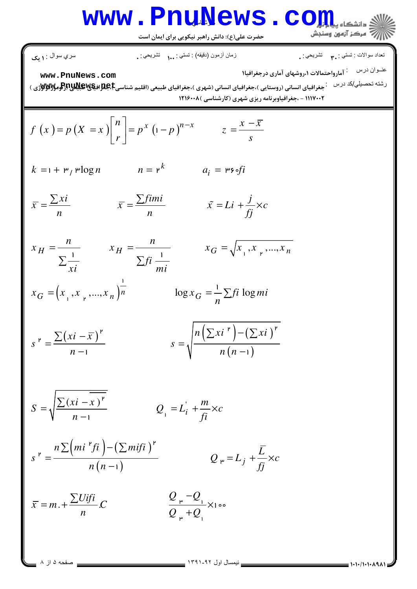# Www.PnuNews.com

حضرت علی(ع): دانش راهبر نیکویی برای ایمان است

$$
\begin{array}{ll}\n\text{where } \begin{aligned}\n\text{where } \begin{align*}\n\text{where } \begin{align*}\n\text{where } \begin{align*}\n\text{where } \begin{align*}\n\text{where } \begin{align*}\n\text{where } \begin{align*}\n\text{where } \begin{align*}\n\text{where } \begin{align*}\n\text{where } \begin{align*}\n\text{where } \begin{align*}\n\text{where } \begin{align*}\n\text{where } \begin{align*}\n\text{where } \begin{align*}\n\text{where } \begin{align*}\n\text{where } \begin{align*}\n\text{where } \begin{align*}\n\text{where } \begin{align*}\n\text{where } \begin{align*}\n\text{where } \begin{align*}\n\text{where } \begin{align*}\n\text{where } \begin{align*}\n\text{where } \begin{align*}\n\text{where } \begin{align*}\n\text{where } \begin{align*}\n\text{where } \begin{align*}\n\text{where } \begin{align*}\n\text{where } \begin{align*}\n\text{where } \begin{align*}\n\text{where } \begin{align*}\n\text{where } \begin{align*}\n\text{where } \begin{align*}\n\text{where } \begin{align*}\n\text{where } \begin{align*}\n\text{where } \begin{align*}\n\text{where } \begin{align*}\n\text{where } \begin{align*}\n\text{where } \begin{align*}\n\text{where } \begin{align*}\n\text{where } \begin{align*}\n\text{where } \begin{align*}\n\text{where } \begin{align*}\n\text{where } \begin{align*}\n\text{where } \begin{align*}\n\text{where } \begin{align*}\n\text{where } \begin{align*}\n\text{where } \begin{align*}\n\text{where } \begin{align*}\n\text{where } \begin{align*}\n\text{where } \begin{align*}\n\text{where } \begin{align*}\n\text{where } \begin{align*}\n\text{where } \begin{align*}\n\text{where } \begin{align*}\n\text{where } \begin{align*}\n\text{where } \begin{align*}\n\text{where } \begin{align*}\n\text{where } \begin{align*}\n\text{where } \begin{align*}\n\text{where } \begin{align*}\n\text{where } \begin{align*}\n\text{where } \begin{align*}\n\text{where } \begin{align
$$

= صفحه ۵ از ۸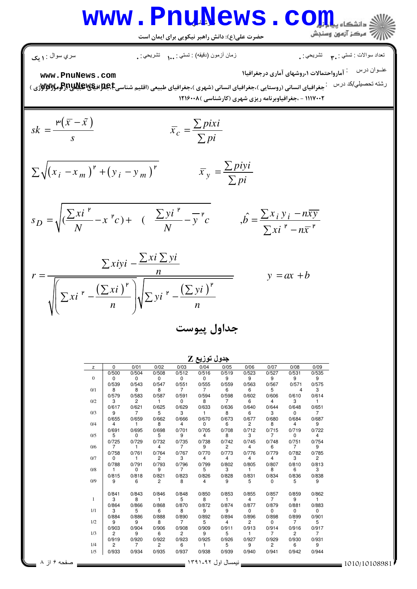## آر- **[www.PnuNews.com](http://pnunews.com)**

حضرت علي(ع): دانش راهبر نيكويي براي ايمان است

$$
\frac{1}{\text{www.PnuNews.com}}
$$
\n
$$
\frac{1}{\text{www.PnuNews.com}}
$$
\n
$$
\frac{1}{\text{www.PnuNews.com}}
$$
\n
$$
\frac{1}{\text{www.PnuNews.com}}
$$
\n
$$
\frac{1}{\text{www.PnuNews.com}}
$$
\n
$$
\frac{1}{\text{www.PnuNews.com}}
$$
\n
$$
\frac{1}{\text{www.PnuNews.com}}
$$
\n
$$
\frac{1}{\text{www.PnuNews.com}}
$$
\n
$$
sk = \frac{r(\bar{x} - \tilde{x})}{s}
$$
\n
$$
Sk = \frac{r(\bar{x} - \tilde{x})}{s}
$$
\n
$$
\sum \sqrt{(x_i - x_m)^r + (y_i - y_m)^r}
$$
\n
$$
\bar{x}_c = \frac{\sum \text{pix}i}{\sum \text{pix}}
$$
\n
$$
S_D = \sqrt{(\frac{\sum x i^r}{N} - x^r c) + (\frac{\sum y i^r}{N} - \frac{\sum p i}{\sum p i}})} = \frac{\sum x_i y_i - n\bar{x}y_i}{\sum x_i^r - n\bar{x}y_i}
$$
\n
$$
r = \frac{\sum x_i y_i - \sum x_i \sum y_i}{\sqrt{\sum x_i^r - n\bar{x}y_i}}
$$
\n
$$
r = \frac{\sum x_i y_i - \sum x_i \sum y_i}{\sqrt{\sum x_i^r - n\bar{x}y_i}}
$$
\n
$$
y = ax + b
$$

|              |                |                |                |                | جدوں توریخ ط   |                |                |                |                |                |
|--------------|----------------|----------------|----------------|----------------|----------------|----------------|----------------|----------------|----------------|----------------|
| z            | $\mathbf 0$    | 0/01           | 0/02           | 0/03           | 0/04           | 0/05           | 0/06           | 0/07           | 0/08           | 0/09           |
|              | 0/500          | 0/504          | 0/508          | 0/512          | 0/516          | 0/519          | 0/523          | 0/527          | 0/531          | 0/535          |
| $\mathbf{0}$ | 0              | 0              | 0              | $\mathbf 0$    | $\mathbf 0$    | 9              | 9              | 9              | 9              | 9              |
|              | 0/539          | 0/543          | 0/547          | 0/551          | 0/555          | 0/559          | 0/563          | 0/567          | 0/571          | 0/575          |
| 0/1          | 8              | 8              | 8              | 7              | $\overline{7}$ | 6              | 6              | 5              | 4              | 3              |
|              | 0/579          | 0/583          | 0/587          | 0/591          | 0/594          | 0/598          | 0/602          | 0/606          | 0/610          | 0/614          |
| 0/2          | 3              | $\mathcal{P}$  | 1              | 0              | 8              | $\overline{7}$ | 6              | 4              | 3              |                |
|              | 0/617          | 0/621          | 0/625          | 0/629          | 0/633          | 0/636          | 0/640          | 0/644          | 0/648          | 0/651          |
| 0/3          | 9              | $\overline{7}$ | 5              | 3              |                | 8              | 6              | 3              | 0              | $\overline{7}$ |
|              | 0/655          | 0/659          | 0/662          | 0/666          | 0/670          | 0/673          | 0/677          | 0/680          | 0/684          | 0/687          |
| 0/4          | 4              |                | 8              | 4              | 0              | 6              | 2              | 8              | 4              | 9              |
|              | 0/691          | 0/695          | 0/698          | 0/701          | 0/705          | 0/708          | 0/712          | 0/715          | 0/719          | 0/722          |
| 0/5          | 5              | $\Omega$       | 5              | 9              | 4              | 8              | 3              | $\overline{7}$ | 0              | 4              |
|              | 0/725          | 0/729          | 0/732          | 0/735          | 0/738          | 0/742          | 0/745          | 0/748          | 0/751          | 0/754          |
| 0/6          | $\overline{7}$ | 1.             | 4              | $\overline{7}$ | 9              | $\overline{c}$ | 4              | 6              | $\overline{7}$ | 9              |
|              | 0/758          | 0/761          | 0/764          | 0/767          | 0/770          | 0/773          | 0/776          | 0/779          | 0/782          | 0/785          |
| 0/7          | 0              | $\mathbf{1}$   | $\overline{c}$ | 3              | 4              | 4              | 4              | 4              | 3              | 2              |
|              | 0/788          | 0/791          | 0/793          | 0/796          | 0/799          | 0/802          | 0/805          | 0/807          | 0/810          | 0/813          |
| 0/8          |                | 0              | 9              | $\overline{7}$ | 5              | 3              | 1              | 8              | 6              | 3              |
|              | 0/815          | 0/818          | 0/821          | 0/823          | 0/826          | 0/828          | 0/831          | 0/834          | 0/836          | 0/838          |
| 0/9          | 9              | 6              | $\overline{2}$ | 8              | 4              | 9              | 5              | 0              | 5              | 9              |
|              | 0/841          | 0/843          | 0/846          | 0/848          | 0/850          | 0/853          | 0/855          | 0/857          | 0/859          | 0/862          |
|              | 3              | 8              | 1              | 5              | 8              | $\mathbf{1}$   | 4              | $\overline{7}$ | 9              | 1              |
|              | 0/864          | 0/866          | 0/868          | 0/870          | 0/872          | 0/874          | 0/877          | 0/879          | 0/881          | 0/883          |
| 1/1          | 3              | 5              | 6              | 8              | 9              | 9              | 0              | 0              | 0              | 0              |
|              | 0/884          | 0/886          | 0/888          | 0/890          | 0/892          | 0/894          | 0/896          | 0/898          | 0/899          | 0/901          |
| 1/2          | 9              | 9              | 8              | $\overline{7}$ | 5              | 4              | $\overline{2}$ | 0              | $\overline{7}$ | 5              |
|              | 0/903          | 0/904          | 0/906          | 0/908          | 0/909          | 0/911          | 0/913          | 0/914          | 0/916          | 0/917          |
| 1/3          | $\overline{c}$ | 9              | 6              | $\overline{c}$ | 9              | 5              | 1.             | $\overline{7}$ | $\overline{c}$ | $\overline{7}$ |
|              | 0/919          | 0/920          | 0/922          | 0/923          | 0/925          | 0/926          | 0/927          | 0/929          | 0/930          | 0/931          |
| 1/4          | $\overline{2}$ | $\overline{7}$ | $\overline{2}$ | 6              | $\mathbf{1}$   | 5              | 9              | 2              | 6              | 9              |
| 1/5          | 0/933          | 0/934          | 0/935          | 0/937          | 0/938          | 0/939          | 0/940          | 0/941          | 0/942          | 0/944          |
|              |                |                |                |                |                |                |                |                |                |                |
|              |                |                |                |                |                |                |                |                |                |                |

<u>جدول توزيع Z</u>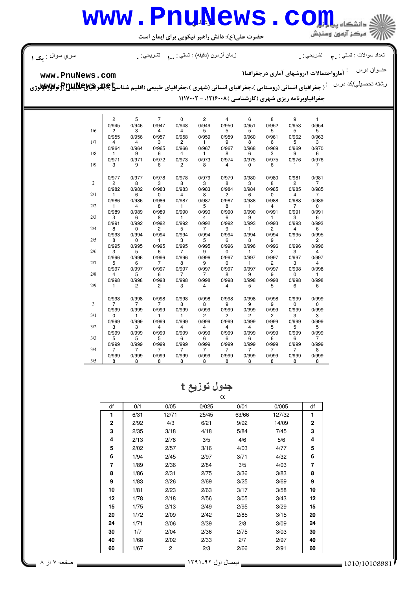## آر- **[www.PnuNews.com](http://pnunews.com)**

حضرت علي(ع): دانش راهبر نيكويي براي ايمان است

ري سوال

ات : ! \*ی ز"ن \$ز"
ن (د'&) : ! \*ی -% + - %-- - ,- : : : : :

نعداد سوالات : تستبي : ٣**. ب**ه تشريحي : .

عنــوان درس مع : آمارواحتمالات ۱،روشهای آماری درجغرافیا۱

**[www.PnuNews.com](http://pnunews.com)**

رشته تحصیلی/کد در س**پستان (بر استانی (روستایی )،جغرافیای انسانی (شهری )،جغرافیای طبیعی (اقلیم شناس<del>یع Qلاوی</del> اقلام استان به مورد اقلام استان به مورد اقلام استان به مورد اقلام استان به مورد اقلام استان به مورد اقلام استان** جغرافیاوبرنامه ریزی شهری (کارشناسی ) ۱۲۱۶۰۰۸، - ۱۱۱۷۰۰۲

| 0/954<br>0/945<br>0/946<br>0/948<br>0/950<br>0/951<br>0/952<br>0/953<br>0/947<br>0/949<br>1/6<br>3<br>5<br>5<br>5<br>5<br>5<br>5<br>2<br>4<br>4<br>0/963<br>0/956<br>0/959<br>0/960<br>0/961<br>0/962<br>0/955<br>0/957<br>0/958<br>0/959<br>$\overline{c}$<br>3<br>9<br>8<br>6<br>5<br>3<br>1/7<br>4<br>4<br>1<br>0/970<br>0/964<br>0/964<br>0/965<br>0/966<br>0/967<br>0/967<br>0/968<br>0/969<br>0/969<br>1/8<br>9<br>6<br>4<br>8<br>6<br>3<br>9<br>6<br>1<br>1<br>0/971<br>0/972<br>0/973<br>0/973<br>0/974<br>0/975<br>0/975<br>0/976<br>0/976<br>0/971<br>1/9<br>9<br>2<br>3<br>6<br>8<br>4<br>7<br>0<br>6<br>1<br>0/977<br>0/977<br>0/978<br>0/978<br>0/979<br>0/979<br>0/980<br>0/980<br>0/981<br>0/981<br>$\sqrt{2}$<br>3<br>8<br>3<br>8<br>3<br>8<br>$\overline{2}$<br>$\overline{7}$<br>2<br>8<br>0/985<br>0/982<br>0/983<br>0/983<br>0/984<br>0/984<br>0/985<br>0/985<br>0/982<br>0/983<br>$\overline{c}$<br>2/1<br>6<br>4<br>4<br>0<br>8<br>6<br>0<br>7<br>1<br>0/989<br>0/986<br>0/986<br>0/987<br>0/987<br>0/988<br>0/988<br>0/986<br>0/987<br>0/988<br>2/2<br>8<br>5<br>8<br>4<br>4<br>7<br>0<br>1<br>1<br>1<br>0/991<br>0/989<br>0/989<br>0/990<br>0/990<br>0/991<br>0/991<br>0/989<br>0/990<br>0/990<br>2/3<br>3<br>8<br>9<br>3<br>6<br>6<br>1<br>4<br>6<br>1<br>0/992<br>0/993<br>0/991<br>0/992<br>0/992<br>0/992<br>0/992<br>0/993<br>0/993<br>0/993<br>2/4<br>$\mathbf 0$<br>2<br>5<br>9<br>6<br>8<br>7<br>2<br>4<br>1<br>0/993<br>0/994<br>0/994<br>0/994<br>0/994<br>0/994<br>0/994<br>0/994<br>0/995<br>0/995<br>2<br>2/5<br>3<br>5<br>6<br>9<br>8<br>0<br>8<br>1<br>1<br>0/995<br>0/995<br>0/996<br>0/995<br>0/995<br>0/995<br>0/996<br>0/996<br>0/996<br>0/996<br>2/6<br>3<br>5<br>$\overline{7}$<br>$\overline{2}$<br>3<br>$\overline{4}$<br>6<br>9<br>1<br>0<br>0/996<br>0/996<br>0/996<br>0/997<br>0/997<br>0/997<br>0/997<br>0/996<br>0/996<br>0/997<br>2/7<br>8<br>5<br>6<br>7<br>9<br>0<br>2<br>3<br>4<br>1<br>0/997<br>0/997<br>0/997<br>0/997<br>0/997<br>0/997<br>0/997<br>0/997<br>0/998<br>0/998<br>2/8<br>5<br>$\overline{7}$<br>9<br>4<br>6<br>$\overline{7}$<br>8<br>9<br>0<br>1<br>0/998<br>0/998<br>0/998<br>0/998<br>0/998<br>0/998<br>0/998<br>0/998<br>0/998<br>0/998<br>2/9<br>$\overline{c}$<br>$\overline{2}$<br>3<br>$\overline{4}$<br>$\overline{4}$<br>5<br>5<br>6<br>6<br>1<br>0/998<br>0/998<br>0/999<br>0/998<br>0/998<br>0/998<br>0/998<br>0/998<br>0/998<br>0/999<br>$\overline{\mathbf{3}}$<br>7<br>7<br>8<br>8<br>9<br>9<br>9<br>7<br>0<br>0<br>0/999<br>0/999<br>0/999<br>0/999<br>0/999<br>0/999<br>0/999<br>0/999<br>0/999<br>0/999<br>3/1<br>1<br>1<br>2<br>2<br>$\overline{2}$<br>2<br>3<br>3<br>0<br>1<br>0/999<br>0/999<br>0/999<br>0/999<br>0/999<br>0/999<br>0/999<br>0/999<br>0/999<br>0/999<br>3/2<br>3<br>$\overline{4}$<br>$\overline{4}$<br>$\overline{4}$<br>$\overline{4}$<br>5<br>5<br>5<br>3<br>4<br>0/999<br>0/999<br>0/999<br>0/999<br>0/999<br>0/999<br>0/999<br>0/999<br>0/999<br>0/999 | $\overline{2}$ |   |                |             |                |                |   |   | 9 |              |
|--------------------------------------------------------------------------------------------------------------------------------------------------------------------------------------------------------------------------------------------------------------------------------------------------------------------------------------------------------------------------------------------------------------------------------------------------------------------------------------------------------------------------------------------------------------------------------------------------------------------------------------------------------------------------------------------------------------------------------------------------------------------------------------------------------------------------------------------------------------------------------------------------------------------------------------------------------------------------------------------------------------------------------------------------------------------------------------------------------------------------------------------------------------------------------------------------------------------------------------------------------------------------------------------------------------------------------------------------------------------------------------------------------------------------------------------------------------------------------------------------------------------------------------------------------------------------------------------------------------------------------------------------------------------------------------------------------------------------------------------------------------------------------------------------------------------------------------------------------------------------------------------------------------------------------------------------------------------------------------------------------------------------------------------------------------------------------------------------------------------------------------------------------------------------------------------------------------------------------------------------------------------------------------------------------------------------------------------------------------------------------------------------------------------------------------------------------------------------------------------------------------------------------------------------------------------------------------------------------------------------------------------------------------------------------------------------------------------------------------------------------------------------------------------------------------------------------------------------------------------------------------------------------------------------------------------------------------------------|----------------|---|----------------|-------------|----------------|----------------|---|---|---|--------------|
|                                                                                                                                                                                                                                                                                                                                                                                                                                                                                                                                                                                                                                                                                                                                                                                                                                                                                                                                                                                                                                                                                                                                                                                                                                                                                                                                                                                                                                                                                                                                                                                                                                                                                                                                                                                                                                                                                                                                                                                                                                                                                                                                                                                                                                                                                                                                                                                                                                                                                                                                                                                                                                                                                                                                                                                                                                                                                                                                                                          |                | 5 | $\overline{7}$ | $\mathbf 0$ | $\overline{c}$ | $\overline{4}$ | 6 | 8 |   | $\mathbf{1}$ |
|                                                                                                                                                                                                                                                                                                                                                                                                                                                                                                                                                                                                                                                                                                                                                                                                                                                                                                                                                                                                                                                                                                                                                                                                                                                                                                                                                                                                                                                                                                                                                                                                                                                                                                                                                                                                                                                                                                                                                                                                                                                                                                                                                                                                                                                                                                                                                                                                                                                                                                                                                                                                                                                                                                                                                                                                                                                                                                                                                                          |                |   |                |             |                |                |   |   |   |              |
|                                                                                                                                                                                                                                                                                                                                                                                                                                                                                                                                                                                                                                                                                                                                                                                                                                                                                                                                                                                                                                                                                                                                                                                                                                                                                                                                                                                                                                                                                                                                                                                                                                                                                                                                                                                                                                                                                                                                                                                                                                                                                                                                                                                                                                                                                                                                                                                                                                                                                                                                                                                                                                                                                                                                                                                                                                                                                                                                                                          |                |   |                |             |                |                |   |   |   |              |
|                                                                                                                                                                                                                                                                                                                                                                                                                                                                                                                                                                                                                                                                                                                                                                                                                                                                                                                                                                                                                                                                                                                                                                                                                                                                                                                                                                                                                                                                                                                                                                                                                                                                                                                                                                                                                                                                                                                                                                                                                                                                                                                                                                                                                                                                                                                                                                                                                                                                                                                                                                                                                                                                                                                                                                                                                                                                                                                                                                          |                |   |                |             |                |                |   |   |   |              |
|                                                                                                                                                                                                                                                                                                                                                                                                                                                                                                                                                                                                                                                                                                                                                                                                                                                                                                                                                                                                                                                                                                                                                                                                                                                                                                                                                                                                                                                                                                                                                                                                                                                                                                                                                                                                                                                                                                                                                                                                                                                                                                                                                                                                                                                                                                                                                                                                                                                                                                                                                                                                                                                                                                                                                                                                                                                                                                                                                                          |                |   |                |             |                |                |   |   |   |              |
|                                                                                                                                                                                                                                                                                                                                                                                                                                                                                                                                                                                                                                                                                                                                                                                                                                                                                                                                                                                                                                                                                                                                                                                                                                                                                                                                                                                                                                                                                                                                                                                                                                                                                                                                                                                                                                                                                                                                                                                                                                                                                                                                                                                                                                                                                                                                                                                                                                                                                                                                                                                                                                                                                                                                                                                                                                                                                                                                                                          |                |   |                |             |                |                |   |   |   |              |
|                                                                                                                                                                                                                                                                                                                                                                                                                                                                                                                                                                                                                                                                                                                                                                                                                                                                                                                                                                                                                                                                                                                                                                                                                                                                                                                                                                                                                                                                                                                                                                                                                                                                                                                                                                                                                                                                                                                                                                                                                                                                                                                                                                                                                                                                                                                                                                                                                                                                                                                                                                                                                                                                                                                                                                                                                                                                                                                                                                          |                |   |                |             |                |                |   |   |   |              |
|                                                                                                                                                                                                                                                                                                                                                                                                                                                                                                                                                                                                                                                                                                                                                                                                                                                                                                                                                                                                                                                                                                                                                                                                                                                                                                                                                                                                                                                                                                                                                                                                                                                                                                                                                                                                                                                                                                                                                                                                                                                                                                                                                                                                                                                                                                                                                                                                                                                                                                                                                                                                                                                                                                                                                                                                                                                                                                                                                                          |                |   |                |             |                |                |   |   |   |              |
|                                                                                                                                                                                                                                                                                                                                                                                                                                                                                                                                                                                                                                                                                                                                                                                                                                                                                                                                                                                                                                                                                                                                                                                                                                                                                                                                                                                                                                                                                                                                                                                                                                                                                                                                                                                                                                                                                                                                                                                                                                                                                                                                                                                                                                                                                                                                                                                                                                                                                                                                                                                                                                                                                                                                                                                                                                                                                                                                                                          |                |   |                |             |                |                |   |   |   |              |
|                                                                                                                                                                                                                                                                                                                                                                                                                                                                                                                                                                                                                                                                                                                                                                                                                                                                                                                                                                                                                                                                                                                                                                                                                                                                                                                                                                                                                                                                                                                                                                                                                                                                                                                                                                                                                                                                                                                                                                                                                                                                                                                                                                                                                                                                                                                                                                                                                                                                                                                                                                                                                                                                                                                                                                                                                                                                                                                                                                          |                |   |                |             |                |                |   |   |   |              |
|                                                                                                                                                                                                                                                                                                                                                                                                                                                                                                                                                                                                                                                                                                                                                                                                                                                                                                                                                                                                                                                                                                                                                                                                                                                                                                                                                                                                                                                                                                                                                                                                                                                                                                                                                                                                                                                                                                                                                                                                                                                                                                                                                                                                                                                                                                                                                                                                                                                                                                                                                                                                                                                                                                                                                                                                                                                                                                                                                                          |                |   |                |             |                |                |   |   |   |              |
|                                                                                                                                                                                                                                                                                                                                                                                                                                                                                                                                                                                                                                                                                                                                                                                                                                                                                                                                                                                                                                                                                                                                                                                                                                                                                                                                                                                                                                                                                                                                                                                                                                                                                                                                                                                                                                                                                                                                                                                                                                                                                                                                                                                                                                                                                                                                                                                                                                                                                                                                                                                                                                                                                                                                                                                                                                                                                                                                                                          |                |   |                |             |                |                |   |   |   |              |
|                                                                                                                                                                                                                                                                                                                                                                                                                                                                                                                                                                                                                                                                                                                                                                                                                                                                                                                                                                                                                                                                                                                                                                                                                                                                                                                                                                                                                                                                                                                                                                                                                                                                                                                                                                                                                                                                                                                                                                                                                                                                                                                                                                                                                                                                                                                                                                                                                                                                                                                                                                                                                                                                                                                                                                                                                                                                                                                                                                          |                |   |                |             |                |                |   |   |   |              |
|                                                                                                                                                                                                                                                                                                                                                                                                                                                                                                                                                                                                                                                                                                                                                                                                                                                                                                                                                                                                                                                                                                                                                                                                                                                                                                                                                                                                                                                                                                                                                                                                                                                                                                                                                                                                                                                                                                                                                                                                                                                                                                                                                                                                                                                                                                                                                                                                                                                                                                                                                                                                                                                                                                                                                                                                                                                                                                                                                                          |                |   |                |             |                |                |   |   |   |              |
|                                                                                                                                                                                                                                                                                                                                                                                                                                                                                                                                                                                                                                                                                                                                                                                                                                                                                                                                                                                                                                                                                                                                                                                                                                                                                                                                                                                                                                                                                                                                                                                                                                                                                                                                                                                                                                                                                                                                                                                                                                                                                                                                                                                                                                                                                                                                                                                                                                                                                                                                                                                                                                                                                                                                                                                                                                                                                                                                                                          |                |   |                |             |                |                |   |   |   |              |
|                                                                                                                                                                                                                                                                                                                                                                                                                                                                                                                                                                                                                                                                                                                                                                                                                                                                                                                                                                                                                                                                                                                                                                                                                                                                                                                                                                                                                                                                                                                                                                                                                                                                                                                                                                                                                                                                                                                                                                                                                                                                                                                                                                                                                                                                                                                                                                                                                                                                                                                                                                                                                                                                                                                                                                                                                                                                                                                                                                          |                |   |                |             |                |                |   |   |   |              |
|                                                                                                                                                                                                                                                                                                                                                                                                                                                                                                                                                                                                                                                                                                                                                                                                                                                                                                                                                                                                                                                                                                                                                                                                                                                                                                                                                                                                                                                                                                                                                                                                                                                                                                                                                                                                                                                                                                                                                                                                                                                                                                                                                                                                                                                                                                                                                                                                                                                                                                                                                                                                                                                                                                                                                                                                                                                                                                                                                                          |                |   |                |             |                |                |   |   |   |              |
|                                                                                                                                                                                                                                                                                                                                                                                                                                                                                                                                                                                                                                                                                                                                                                                                                                                                                                                                                                                                                                                                                                                                                                                                                                                                                                                                                                                                                                                                                                                                                                                                                                                                                                                                                                                                                                                                                                                                                                                                                                                                                                                                                                                                                                                                                                                                                                                                                                                                                                                                                                                                                                                                                                                                                                                                                                                                                                                                                                          |                |   |                |             |                |                |   |   |   |              |
|                                                                                                                                                                                                                                                                                                                                                                                                                                                                                                                                                                                                                                                                                                                                                                                                                                                                                                                                                                                                                                                                                                                                                                                                                                                                                                                                                                                                                                                                                                                                                                                                                                                                                                                                                                                                                                                                                                                                                                                                                                                                                                                                                                                                                                                                                                                                                                                                                                                                                                                                                                                                                                                                                                                                                                                                                                                                                                                                                                          |                |   |                |             |                |                |   |   |   |              |
|                                                                                                                                                                                                                                                                                                                                                                                                                                                                                                                                                                                                                                                                                                                                                                                                                                                                                                                                                                                                                                                                                                                                                                                                                                                                                                                                                                                                                                                                                                                                                                                                                                                                                                                                                                                                                                                                                                                                                                                                                                                                                                                                                                                                                                                                                                                                                                                                                                                                                                                                                                                                                                                                                                                                                                                                                                                                                                                                                                          |                |   |                |             |                |                |   |   |   |              |
|                                                                                                                                                                                                                                                                                                                                                                                                                                                                                                                                                                                                                                                                                                                                                                                                                                                                                                                                                                                                                                                                                                                                                                                                                                                                                                                                                                                                                                                                                                                                                                                                                                                                                                                                                                                                                                                                                                                                                                                                                                                                                                                                                                                                                                                                                                                                                                                                                                                                                                                                                                                                                                                                                                                                                                                                                                                                                                                                                                          |                |   |                |             |                |                |   |   |   |              |
|                                                                                                                                                                                                                                                                                                                                                                                                                                                                                                                                                                                                                                                                                                                                                                                                                                                                                                                                                                                                                                                                                                                                                                                                                                                                                                                                                                                                                                                                                                                                                                                                                                                                                                                                                                                                                                                                                                                                                                                                                                                                                                                                                                                                                                                                                                                                                                                                                                                                                                                                                                                                                                                                                                                                                                                                                                                                                                                                                                          |                |   |                |             |                |                |   |   |   |              |
|                                                                                                                                                                                                                                                                                                                                                                                                                                                                                                                                                                                                                                                                                                                                                                                                                                                                                                                                                                                                                                                                                                                                                                                                                                                                                                                                                                                                                                                                                                                                                                                                                                                                                                                                                                                                                                                                                                                                                                                                                                                                                                                                                                                                                                                                                                                                                                                                                                                                                                                                                                                                                                                                                                                                                                                                                                                                                                                                                                          |                |   |                |             |                |                |   |   |   |              |
|                                                                                                                                                                                                                                                                                                                                                                                                                                                                                                                                                                                                                                                                                                                                                                                                                                                                                                                                                                                                                                                                                                                                                                                                                                                                                                                                                                                                                                                                                                                                                                                                                                                                                                                                                                                                                                                                                                                                                                                                                                                                                                                                                                                                                                                                                                                                                                                                                                                                                                                                                                                                                                                                                                                                                                                                                                                                                                                                                                          |                |   |                |             |                |                |   |   |   |              |
|                                                                                                                                                                                                                                                                                                                                                                                                                                                                                                                                                                                                                                                                                                                                                                                                                                                                                                                                                                                                                                                                                                                                                                                                                                                                                                                                                                                                                                                                                                                                                                                                                                                                                                                                                                                                                                                                                                                                                                                                                                                                                                                                                                                                                                                                                                                                                                                                                                                                                                                                                                                                                                                                                                                                                                                                                                                                                                                                                                          |                |   |                |             |                |                |   |   |   |              |
|                                                                                                                                                                                                                                                                                                                                                                                                                                                                                                                                                                                                                                                                                                                                                                                                                                                                                                                                                                                                                                                                                                                                                                                                                                                                                                                                                                                                                                                                                                                                                                                                                                                                                                                                                                                                                                                                                                                                                                                                                                                                                                                                                                                                                                                                                                                                                                                                                                                                                                                                                                                                                                                                                                                                                                                                                                                                                                                                                                          |                |   |                |             |                |                |   |   |   |              |
|                                                                                                                                                                                                                                                                                                                                                                                                                                                                                                                                                                                                                                                                                                                                                                                                                                                                                                                                                                                                                                                                                                                                                                                                                                                                                                                                                                                                                                                                                                                                                                                                                                                                                                                                                                                                                                                                                                                                                                                                                                                                                                                                                                                                                                                                                                                                                                                                                                                                                                                                                                                                                                                                                                                                                                                                                                                                                                                                                                          |                |   |                |             |                |                |   |   |   |              |
|                                                                                                                                                                                                                                                                                                                                                                                                                                                                                                                                                                                                                                                                                                                                                                                                                                                                                                                                                                                                                                                                                                                                                                                                                                                                                                                                                                                                                                                                                                                                                                                                                                                                                                                                                                                                                                                                                                                                                                                                                                                                                                                                                                                                                                                                                                                                                                                                                                                                                                                                                                                                                                                                                                                                                                                                                                                                                                                                                                          |                |   |                |             |                |                |   |   |   |              |
|                                                                                                                                                                                                                                                                                                                                                                                                                                                                                                                                                                                                                                                                                                                                                                                                                                                                                                                                                                                                                                                                                                                                                                                                                                                                                                                                                                                                                                                                                                                                                                                                                                                                                                                                                                                                                                                                                                                                                                                                                                                                                                                                                                                                                                                                                                                                                                                                                                                                                                                                                                                                                                                                                                                                                                                                                                                                                                                                                                          |                |   |                |             |                |                |   |   |   |              |
|                                                                                                                                                                                                                                                                                                                                                                                                                                                                                                                                                                                                                                                                                                                                                                                                                                                                                                                                                                                                                                                                                                                                                                                                                                                                                                                                                                                                                                                                                                                                                                                                                                                                                                                                                                                                                                                                                                                                                                                                                                                                                                                                                                                                                                                                                                                                                                                                                                                                                                                                                                                                                                                                                                                                                                                                                                                                                                                                                                          |                |   |                |             |                |                |   |   |   |              |
|                                                                                                                                                                                                                                                                                                                                                                                                                                                                                                                                                                                                                                                                                                                                                                                                                                                                                                                                                                                                                                                                                                                                                                                                                                                                                                                                                                                                                                                                                                                                                                                                                                                                                                                                                                                                                                                                                                                                                                                                                                                                                                                                                                                                                                                                                                                                                                                                                                                                                                                                                                                                                                                                                                                                                                                                                                                                                                                                                                          |                |   |                |             |                |                |   |   |   |              |
|                                                                                                                                                                                                                                                                                                                                                                                                                                                                                                                                                                                                                                                                                                                                                                                                                                                                                                                                                                                                                                                                                                                                                                                                                                                                                                                                                                                                                                                                                                                                                                                                                                                                                                                                                                                                                                                                                                                                                                                                                                                                                                                                                                                                                                                                                                                                                                                                                                                                                                                                                                                                                                                                                                                                                                                                                                                                                                                                                                          |                |   |                |             |                |                |   |   |   |              |
|                                                                                                                                                                                                                                                                                                                                                                                                                                                                                                                                                                                                                                                                                                                                                                                                                                                                                                                                                                                                                                                                                                                                                                                                                                                                                                                                                                                                                                                                                                                                                                                                                                                                                                                                                                                                                                                                                                                                                                                                                                                                                                                                                                                                                                                                                                                                                                                                                                                                                                                                                                                                                                                                                                                                                                                                                                                                                                                                                                          |                |   |                |             |                |                |   |   |   |              |
|                                                                                                                                                                                                                                                                                                                                                                                                                                                                                                                                                                                                                                                                                                                                                                                                                                                                                                                                                                                                                                                                                                                                                                                                                                                                                                                                                                                                                                                                                                                                                                                                                                                                                                                                                                                                                                                                                                                                                                                                                                                                                                                                                                                                                                                                                                                                                                                                                                                                                                                                                                                                                                                                                                                                                                                                                                                                                                                                                                          |                |   |                |             |                |                |   |   |   |              |
|                                                                                                                                                                                                                                                                                                                                                                                                                                                                                                                                                                                                                                                                                                                                                                                                                                                                                                                                                                                                                                                                                                                                                                                                                                                                                                                                                                                                                                                                                                                                                                                                                                                                                                                                                                                                                                                                                                                                                                                                                                                                                                                                                                                                                                                                                                                                                                                                                                                                                                                                                                                                                                                                                                                                                                                                                                                                                                                                                                          |                |   |                |             |                |                |   |   |   |              |
| 3/3<br>5<br>5<br>$\overline{7}$<br>5<br>6<br>6<br>6<br>6<br>6<br>6                                                                                                                                                                                                                                                                                                                                                                                                                                                                                                                                                                                                                                                                                                                                                                                                                                                                                                                                                                                                                                                                                                                                                                                                                                                                                                                                                                                                                                                                                                                                                                                                                                                                                                                                                                                                                                                                                                                                                                                                                                                                                                                                                                                                                                                                                                                                                                                                                                                                                                                                                                                                                                                                                                                                                                                                                                                                                                       |                |   |                |             |                |                |   |   |   |              |
| 0/999<br>0/999<br>0/999<br>0/999<br>0/999<br>0/999<br>0/999<br>0/999<br>0/999<br>0/999                                                                                                                                                                                                                                                                                                                                                                                                                                                                                                                                                                                                                                                                                                                                                                                                                                                                                                                                                                                                                                                                                                                                                                                                                                                                                                                                                                                                                                                                                                                                                                                                                                                                                                                                                                                                                                                                                                                                                                                                                                                                                                                                                                                                                                                                                                                                                                                                                                                                                                                                                                                                                                                                                                                                                                                                                                                                                   |                |   |                |             |                |                |   |   |   |              |
| 3/4<br>$\overline{7}$<br>$\overline{7}$<br>$\overline{7}$<br>$\overline{7}$<br>$\overline{7}$<br>$\overline{7}$<br>7<br>8<br>7<br>7                                                                                                                                                                                                                                                                                                                                                                                                                                                                                                                                                                                                                                                                                                                                                                                                                                                                                                                                                                                                                                                                                                                                                                                                                                                                                                                                                                                                                                                                                                                                                                                                                                                                                                                                                                                                                                                                                                                                                                                                                                                                                                                                                                                                                                                                                                                                                                                                                                                                                                                                                                                                                                                                                                                                                                                                                                      |                |   |                |             |                |                |   |   |   |              |
| 0/999<br>0/999<br>0/999<br>0/999<br>0/999<br>0/999<br>0/999<br>0/999<br>0/999<br>0/999<br>3/5<br>8<br>8<br>8<br>8<br>8<br>8<br>8<br>8<br>8<br>8                                                                                                                                                                                                                                                                                                                                                                                                                                                                                                                                                                                                                                                                                                                                                                                                                                                                                                                                                                                                                                                                                                                                                                                                                                                                                                                                                                                                                                                                                                                                                                                                                                                                                                                                                                                                                                                                                                                                                                                                                                                                                                                                                                                                                                                                                                                                                                                                                                                                                                                                                                                                                                                                                                                                                                                                                          |                |   |                |             |                |                |   |   |   |              |

### <mark>جدول توزیع t</mark>

|              |      |       | $\alpha$ |       |        |                |
|--------------|------|-------|----------|-------|--------|----------------|
| df           | 0/1  | 0/05  | 0/025    | 0/01  | 0/005  | df             |
| 1            | 6/31 | 12/71 | 25/45    | 63/66 | 127/32 | 1              |
| $\mathbf{2}$ | 2/92 | 4/3   | 6/21     | 9/92  | 14/09  | $\overline{2}$ |
| 3            | 2/35 | 3/18  | 4/18     | 5/84  | 7/45   | 3              |
| 4            | 2/13 | 2/78  | 3/5      | 4/6   | 5/6    | 4              |
| 5            | 2/02 | 2/57  | 3/16     | 4/03  | 4/77   | 5              |
| 6            | 1/94 | 2/45  | 2/97     | 3/71  | 4/32   | 6              |
| 7            | 1/89 | 2/36  | 2/84     | 3/5   | 4/03   | 7              |
| 8            | 1/86 | 2/31  | 2/75     | 3/36  | 3/83   | 8              |
| 9            | 1/83 | 2/26  | 2/69     | 3/25  | 3/69   | 9              |
| 10           | 1/81 | 2/23  | 2/63     | 3/17  | 3/58   | 10             |
| 12           | 1/78 | 2/18  | 2/56     | 3/05  | 3/43   | 12             |
| 15           | 1/75 | 2/13  | 2/49     | 2/95  | 3/29   | 15             |
| 20           | 1/72 | 2/09  | 2/42     | 2/85  | 3/15   | 20             |
| 24           | 1/71 | 2/06  | 2/39     | 2/8   | 3/09   | 24             |
| 30           | 1/7  | 2/04  | 2/36     | 2/75  | 3/03   | 30             |
| 40           | 1/68 | 2/02  | 2/33     | 2/7   | 2/97   | 40             |
| 60           | 1/67 | 2     | 2/3      | 2/66  | 2/91   | 60             |